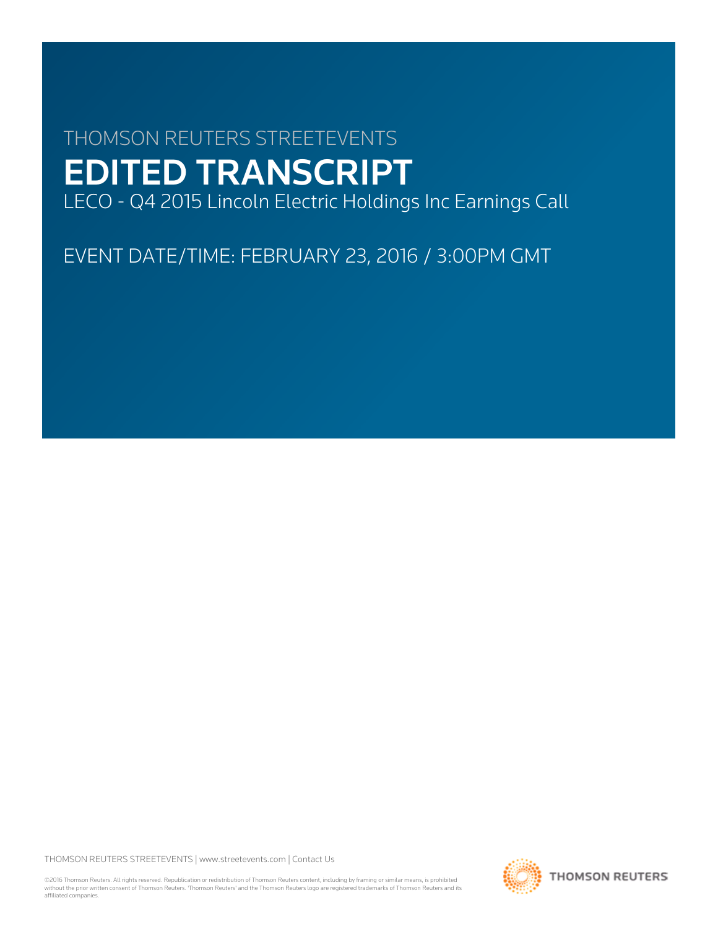# THOMSON REUTERS STREETEVENTS EDITED TRANSCRIPT

LECO - Q4 2015 Lincoln Electric Holdings Inc Earnings Call

EVENT DATE/TIME: FEBRUARY 23, 2016 / 3:00PM GMT

THOMSON REUTERS STREETEVENTS | [www.streetevents.com](http://www.streetevents.com) | [Contact Us](http://www010.streetevents.com/contact.asp)

©2016 Thomson Reuters. All rights reserved. Republication or redistribution of Thomson Reuters content, including by framing or similar means, is prohibited without the prior written consent of Thomson Reuters. 'Thomson Reuters' and the Thomson Reuters logo are registered trademarks of Thomson Reuters and its affiliated companies.

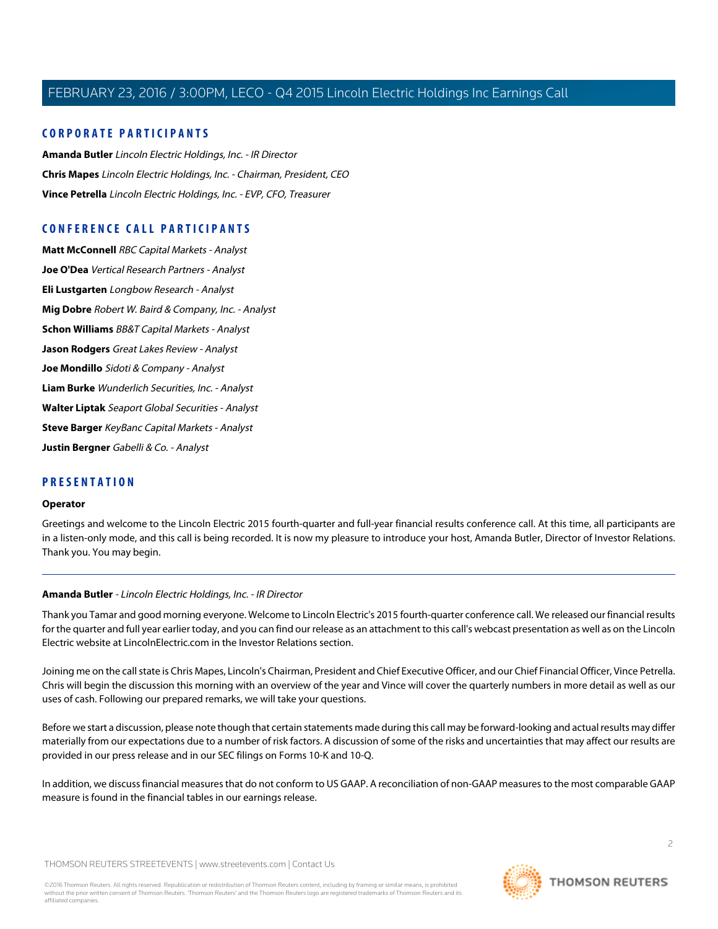### **CORPORATE PARTICIPANTS**

**[Amanda Butler](#page-1-0)** Lincoln Electric Holdings, Inc. - IR Director **[Chris Mapes](#page-2-0)** Lincoln Electric Holdings, Inc. - Chairman, President, CEO **[Vince Petrella](#page-3-0)** Lincoln Electric Holdings, Inc. - EVP, CFO, Treasurer

### **CONFERENCE CALL PARTICIPANTS**

**[Matt McConnell](#page-5-0)** RBC Capital Markets - Analyst **[Joe O'Dea](#page-6-0)** Vertical Research Partners - Analyst **[Eli Lustgarten](#page-8-0)** Longbow Research - Analyst **[Mig Dobre](#page-9-0)** Robert W. Baird & Company, Inc. - Analyst **[Schon Williams](#page-10-0)** BB&T Capital Markets - Analyst **[Jason Rodgers](#page-11-0)** Great Lakes Review - Analyst **[Joe Mondillo](#page-12-0)** Sidoti & Company - Analyst **[Liam Burke](#page-14-0)** Wunderlich Securities, Inc. - Analyst **[Walter Liptak](#page-15-0)** Seaport Global Securities - Analyst **[Steve Barger](#page-16-0)** KeyBanc Capital Markets - Analyst **[Justin Bergner](#page-18-0)** Gabelli & Co. - Analyst

### **PRESENTATION**

### **Operator**

<span id="page-1-0"></span>Greetings and welcome to the Lincoln Electric 2015 fourth-quarter and full-year financial results conference call. At this time, all participants are in a listen-only mode, and this call is being recorded. It is now my pleasure to introduce your host, Amanda Butler, Director of Investor Relations. Thank you. You may begin.

### **Amanda Butler** - Lincoln Electric Holdings, Inc. - IR Director

Thank you Tamar and good morning everyone. Welcome to Lincoln Electric's 2015 fourth-quarter conference call. We released our financial results for the quarter and full year earlier today, and you can find our release as an attachment to this call's webcast presentation as well as on the Lincoln Electric website at LincolnElectric.com in the Investor Relations section.

Joining me on the call state is Chris Mapes, Lincoln's Chairman, President and Chief Executive Officer, and our Chief Financial Officer, Vince Petrella. Chris will begin the discussion this morning with an overview of the year and Vince will cover the quarterly numbers in more detail as well as our uses of cash. Following our prepared remarks, we will take your questions.

Before we start a discussion, please note though that certain statements made during this call may be forward-looking and actual results may differ materially from our expectations due to a number of risk factors. A discussion of some of the risks and uncertainties that may affect our results are provided in our press release and in our SEC filings on Forms 10-K and 10-Q.

In addition, we discuss financial measures that do not conform to US GAAP. A reconciliation of non-GAAP measures to the most comparable GAAP measure is found in the financial tables in our earnings release.

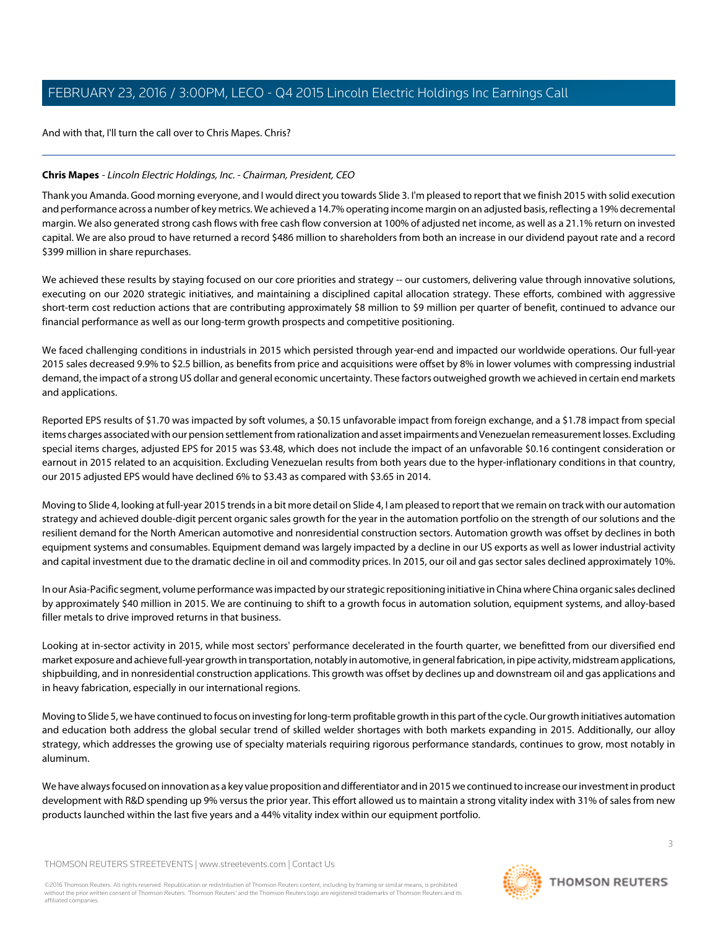And with that, I'll turn the call over to Chris Mapes. Chris?

### <span id="page-2-0"></span>**Chris Mapes** - Lincoln Electric Holdings, Inc. - Chairman, President, CEO

Thank you Amanda. Good morning everyone, and I would direct you towards Slide 3. I'm pleased to report that we finish 2015 with solid execution and performance across a number of key metrics. We achieved a 14.7% operating income margin on an adjusted basis, reflecting a 19% decremental margin. We also generated strong cash flows with free cash flow conversion at 100% of adjusted net income, as well as a 21.1% return on invested capital. We are also proud to have returned a record \$486 million to shareholders from both an increase in our dividend payout rate and a record \$399 million in share repurchases.

We achieved these results by staying focused on our core priorities and strategy -- our customers, delivering value through innovative solutions, executing on our 2020 strategic initiatives, and maintaining a disciplined capital allocation strategy. These efforts, combined with aggressive short-term cost reduction actions that are contributing approximately \$8 million to \$9 million per quarter of benefit, continued to advance our financial performance as well as our long-term growth prospects and competitive positioning.

We faced challenging conditions in industrials in 2015 which persisted through year-end and impacted our worldwide operations. Our full-year 2015 sales decreased 9.9% to \$2.5 billion, as benefits from price and acquisitions were offset by 8% in lower volumes with compressing industrial demand, the impact of a strong US dollar and general economic uncertainty. These factors outweighed growth we achieved in certain end markets and applications.

Reported EPS results of \$1.70 was impacted by soft volumes, a \$0.15 unfavorable impact from foreign exchange, and a \$1.78 impact from special items charges associated with our pension settlement from rationalization and asset impairments and Venezuelan remeasurement losses. Excluding special items charges, adjusted EPS for 2015 was \$3.48, which does not include the impact of an unfavorable \$0.16 contingent consideration or earnout in 2015 related to an acquisition. Excluding Venezuelan results from both years due to the hyper-inflationary conditions in that country, our 2015 adjusted EPS would have declined 6% to \$3.43 as compared with \$3.65 in 2014.

Moving to Slide 4, looking at full-year 2015 trends in a bit more detail on Slide 4, I am pleased to report that we remain on track with our automation strategy and achieved double-digit percent organic sales growth for the year in the automation portfolio on the strength of our solutions and the resilient demand for the North American automotive and nonresidential construction sectors. Automation growth was offset by declines in both equipment systems and consumables. Equipment demand was largely impacted by a decline in our US exports as well as lower industrial activity and capital investment due to the dramatic decline in oil and commodity prices. In 2015, our oil and gas sector sales declined approximately 10%.

In our Asia-Pacific segment, volume performance was impacted by our strategic repositioning initiative in China where China organic sales declined by approximately \$40 million in 2015. We are continuing to shift to a growth focus in automation solution, equipment systems, and alloy-based filler metals to drive improved returns in that business.

Looking at in-sector activity in 2015, while most sectors' performance decelerated in the fourth quarter, we benefitted from our diversified end market exposure and achieve full-year growth in transportation, notably in automotive, in general fabrication, in pipe activity, midstream applications, shipbuilding, and in nonresidential construction applications. This growth was offset by declines up and downstream oil and gas applications and in heavy fabrication, especially in our international regions.

Moving to Slide 5, we have continued to focus on investing for long-term profitable growth in this part of the cycle. Our growth initiatives automation and education both address the global secular trend of skilled welder shortages with both markets expanding in 2015. Additionally, our alloy strategy, which addresses the growing use of specialty materials requiring rigorous performance standards, continues to grow, most notably in aluminum.

We have always focused on innovation as a key value proposition and differentiator and in 2015 we continued to increase our investment in product development with R&D spending up 9% versus the prior year. This effort allowed us to maintain a strong vitality index with 31% of sales from new products launched within the last five years and a 44% vitality index within our equipment portfolio.

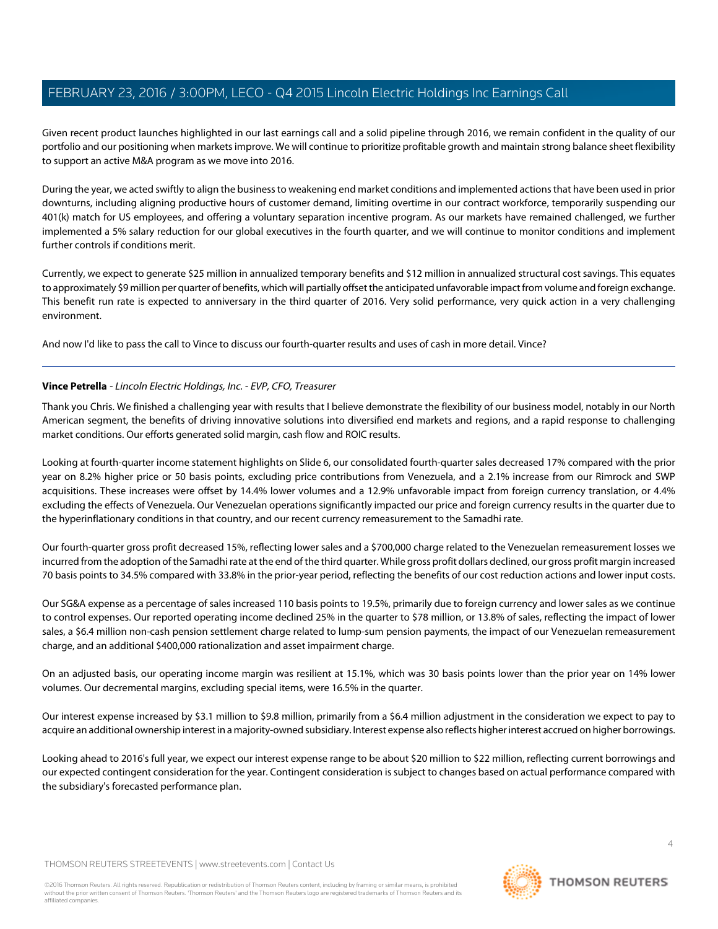Given recent product launches highlighted in our last earnings call and a solid pipeline through 2016, we remain confident in the quality of our portfolio and our positioning when markets improve. We will continue to prioritize profitable growth and maintain strong balance sheet flexibility to support an active M&A program as we move into 2016.

During the year, we acted swiftly to align the business to weakening end market conditions and implemented actions that have been used in prior downturns, including aligning productive hours of customer demand, limiting overtime in our contract workforce, temporarily suspending our 401(k) match for US employees, and offering a voluntary separation incentive program. As our markets have remained challenged, we further implemented a 5% salary reduction for our global executives in the fourth quarter, and we will continue to monitor conditions and implement further controls if conditions merit.

Currently, we expect to generate \$25 million in annualized temporary benefits and \$12 million in annualized structural cost savings. This equates to approximately \$9 million per quarter of benefits, which will partially offset the anticipated unfavorable impact from volume and foreign exchange. This benefit run rate is expected to anniversary in the third quarter of 2016. Very solid performance, very quick action in a very challenging environment.

<span id="page-3-0"></span>And now I'd like to pass the call to Vince to discuss our fourth-quarter results and uses of cash in more detail. Vince?

### **Vince Petrella** - Lincoln Electric Holdings, Inc. - EVP, CFO, Treasurer

Thank you Chris. We finished a challenging year with results that I believe demonstrate the flexibility of our business model, notably in our North American segment, the benefits of driving innovative solutions into diversified end markets and regions, and a rapid response to challenging market conditions. Our efforts generated solid margin, cash flow and ROIC results.

Looking at fourth-quarter income statement highlights on Slide 6, our consolidated fourth-quarter sales decreased 17% compared with the prior year on 8.2% higher price or 50 basis points, excluding price contributions from Venezuela, and a 2.1% increase from our Rimrock and SWP acquisitions. These increases were offset by 14.4% lower volumes and a 12.9% unfavorable impact from foreign currency translation, or 4.4% excluding the effects of Venezuela. Our Venezuelan operations significantly impacted our price and foreign currency results in the quarter due to the hyperinflationary conditions in that country, and our recent currency remeasurement to the Samadhi rate.

Our fourth-quarter gross profit decreased 15%, reflecting lower sales and a \$700,000 charge related to the Venezuelan remeasurement losses we incurred from the adoption of the Samadhi rate at the end of the third quarter. While gross profit dollars declined, our gross profit margin increased 70 basis points to 34.5% compared with 33.8% in the prior-year period, reflecting the benefits of our cost reduction actions and lower input costs.

Our SG&A expense as a percentage of sales increased 110 basis points to 19.5%, primarily due to foreign currency and lower sales as we continue to control expenses. Our reported operating income declined 25% in the quarter to \$78 million, or 13.8% of sales, reflecting the impact of lower sales, a \$6.4 million non-cash pension settlement charge related to lump-sum pension payments, the impact of our Venezuelan remeasurement charge, and an additional \$400,000 rationalization and asset impairment charge.

On an adjusted basis, our operating income margin was resilient at 15.1%, which was 30 basis points lower than the prior year on 14% lower volumes. Our decremental margins, excluding special items, were 16.5% in the quarter.

Our interest expense increased by \$3.1 million to \$9.8 million, primarily from a \$6.4 million adjustment in the consideration we expect to pay to acquire an additional ownership interest in a majority-owned subsidiary. Interest expense also reflects higher interest accrued on higher borrowings.

Looking ahead to 2016's full year, we expect our interest expense range to be about \$20 million to \$22 million, reflecting current borrowings and our expected contingent consideration for the year. Contingent consideration is subject to changes based on actual performance compared with the subsidiary's forecasted performance plan.

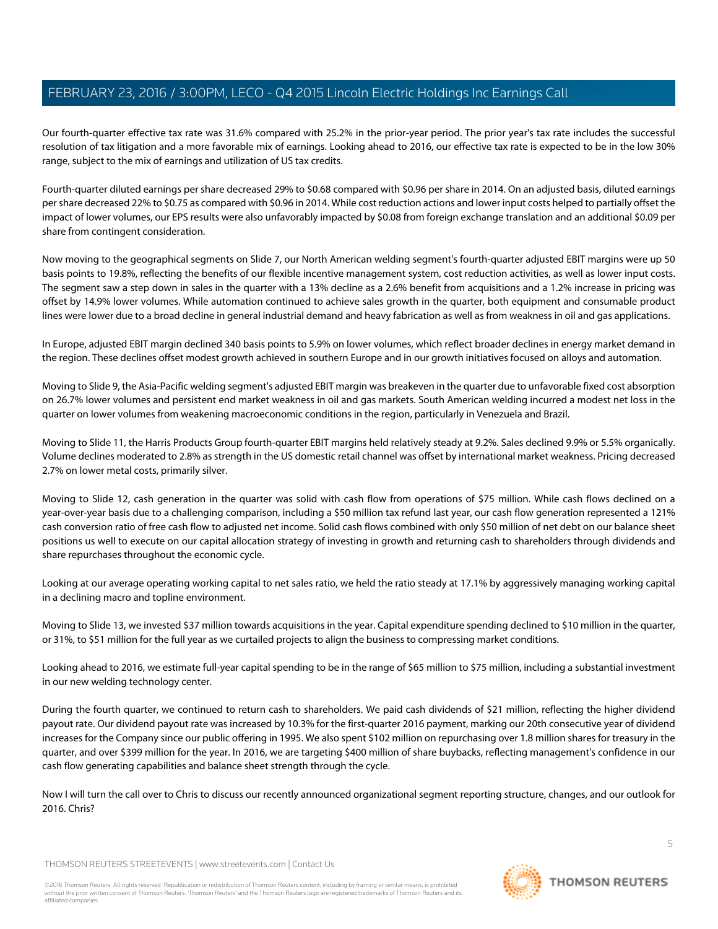Our fourth-quarter effective tax rate was 31.6% compared with 25.2% in the prior-year period. The prior year's tax rate includes the successful resolution of tax litigation and a more favorable mix of earnings. Looking ahead to 2016, our effective tax rate is expected to be in the low 30% range, subject to the mix of earnings and utilization of US tax credits.

Fourth-quarter diluted earnings per share decreased 29% to \$0.68 compared with \$0.96 per share in 2014. On an adjusted basis, diluted earnings per share decreased 22% to \$0.75 as compared with \$0.96 in 2014. While cost reduction actions and lower input costs helped to partially offset the impact of lower volumes, our EPS results were also unfavorably impacted by \$0.08 from foreign exchange translation and an additional \$0.09 per share from contingent consideration.

Now moving to the geographical segments on Slide 7, our North American welding segment's fourth-quarter adjusted EBIT margins were up 50 basis points to 19.8%, reflecting the benefits of our flexible incentive management system, cost reduction activities, as well as lower input costs. The segment saw a step down in sales in the quarter with a 13% decline as a 2.6% benefit from acquisitions and a 1.2% increase in pricing was offset by 14.9% lower volumes. While automation continued to achieve sales growth in the quarter, both equipment and consumable product lines were lower due to a broad decline in general industrial demand and heavy fabrication as well as from weakness in oil and gas applications.

In Europe, adjusted EBIT margin declined 340 basis points to 5.9% on lower volumes, which reflect broader declines in energy market demand in the region. These declines offset modest growth achieved in southern Europe and in our growth initiatives focused on alloys and automation.

Moving to Slide 9, the Asia-Pacific welding segment's adjusted EBIT margin was breakeven in the quarter due to unfavorable fixed cost absorption on 26.7% lower volumes and persistent end market weakness in oil and gas markets. South American welding incurred a modest net loss in the quarter on lower volumes from weakening macroeconomic conditions in the region, particularly in Venezuela and Brazil.

Moving to Slide 11, the Harris Products Group fourth-quarter EBIT margins held relatively steady at 9.2%. Sales declined 9.9% or 5.5% organically. Volume declines moderated to 2.8% as strength in the US domestic retail channel was offset by international market weakness. Pricing decreased 2.7% on lower metal costs, primarily silver.

Moving to Slide 12, cash generation in the quarter was solid with cash flow from operations of \$75 million. While cash flows declined on a year-over-year basis due to a challenging comparison, including a \$50 million tax refund last year, our cash flow generation represented a 121% cash conversion ratio of free cash flow to adjusted net income. Solid cash flows combined with only \$50 million of net debt on our balance sheet positions us well to execute on our capital allocation strategy of investing in growth and returning cash to shareholders through dividends and share repurchases throughout the economic cycle.

Looking at our average operating working capital to net sales ratio, we held the ratio steady at 17.1% by aggressively managing working capital in a declining macro and topline environment.

Moving to Slide 13, we invested \$37 million towards acquisitions in the year. Capital expenditure spending declined to \$10 million in the quarter, or 31%, to \$51 million for the full year as we curtailed projects to align the business to compressing market conditions.

Looking ahead to 2016, we estimate full-year capital spending to be in the range of \$65 million to \$75 million, including a substantial investment in our new welding technology center.

During the fourth quarter, we continued to return cash to shareholders. We paid cash dividends of \$21 million, reflecting the higher dividend payout rate. Our dividend payout rate was increased by 10.3% for the first-quarter 2016 payment, marking our 20th consecutive year of dividend increases for the Company since our public offering in 1995. We also spent \$102 million on repurchasing over 1.8 million shares for treasury in the quarter, and over \$399 million for the year. In 2016, we are targeting \$400 million of share buybacks, reflecting management's confidence in our cash flow generating capabilities and balance sheet strength through the cycle.

Now I will turn the call over to Chris to discuss our recently announced organizational segment reporting structure, changes, and our outlook for 2016. Chris?

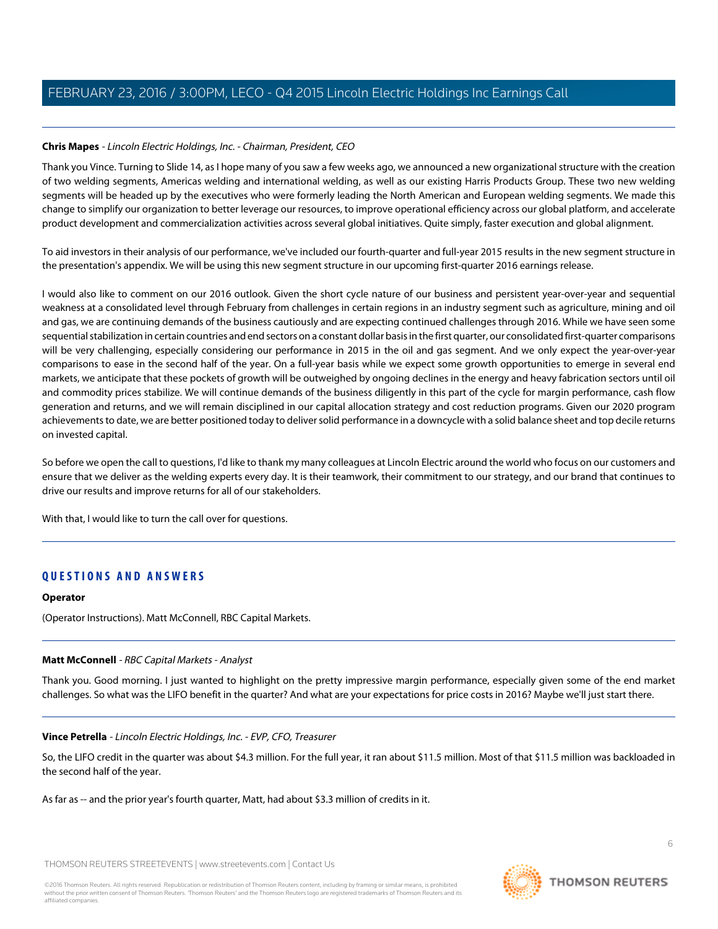### **Chris Mapes** - Lincoln Electric Holdings, Inc. - Chairman, President, CEO

Thank you Vince. Turning to Slide 14, as I hope many of you saw a few weeks ago, we announced a new organizational structure with the creation of two welding segments, Americas welding and international welding, as well as our existing Harris Products Group. These two new welding segments will be headed up by the executives who were formerly leading the North American and European welding segments. We made this change to simplify our organization to better leverage our resources, to improve operational efficiency across our global platform, and accelerate product development and commercialization activities across several global initiatives. Quite simply, faster execution and global alignment.

To aid investors in their analysis of our performance, we've included our fourth-quarter and full-year 2015 results in the new segment structure in the presentation's appendix. We will be using this new segment structure in our upcoming first-quarter 2016 earnings release.

I would also like to comment on our 2016 outlook. Given the short cycle nature of our business and persistent year-over-year and sequential weakness at a consolidated level through February from challenges in certain regions in an industry segment such as agriculture, mining and oil and gas, we are continuing demands of the business cautiously and are expecting continued challenges through 2016. While we have seen some sequential stabilization in certain countries and end sectors on a constant dollar basis in the first quarter, our consolidated first-quarter comparisons will be very challenging, especially considering our performance in 2015 in the oil and gas segment. And we only expect the year-over-year comparisons to ease in the second half of the year. On a full-year basis while we expect some growth opportunities to emerge in several end markets, we anticipate that these pockets of growth will be outweighed by ongoing declines in the energy and heavy fabrication sectors until oil and commodity prices stabilize. We will continue demands of the business diligently in this part of the cycle for margin performance, cash flow generation and returns, and we will remain disciplined in our capital allocation strategy and cost reduction programs. Given our 2020 program achievements to date, we are better positioned today to deliver solid performance in a downcycle with a solid balance sheet and top decile returns on invested capital.

So before we open the call to questions, I'd like to thank my many colleagues at Lincoln Electric around the world who focus on our customers and ensure that we deliver as the welding experts every day. It is their teamwork, their commitment to our strategy, and our brand that continues to drive our results and improve returns for all of our stakeholders.

With that, I would like to turn the call over for questions.

### **QUESTIONS AND ANSWERS**

### <span id="page-5-0"></span>**Operator**

(Operator Instructions). Matt McConnell, RBC Capital Markets.

### **Matt McConnell** - RBC Capital Markets - Analyst

Thank you. Good morning. I just wanted to highlight on the pretty impressive margin performance, especially given some of the end market challenges. So what was the LIFO benefit in the quarter? And what are your expectations for price costs in 2016? Maybe we'll just start there.

### **Vince Petrella** - Lincoln Electric Holdings, Inc. - EVP, CFO, Treasurer

So, the LIFO credit in the quarter was about \$4.3 million. For the full year, it ran about \$11.5 million. Most of that \$11.5 million was backloaded in the second half of the year.

As far as -- and the prior year's fourth quarter, Matt, had about \$3.3 million of credits in it.

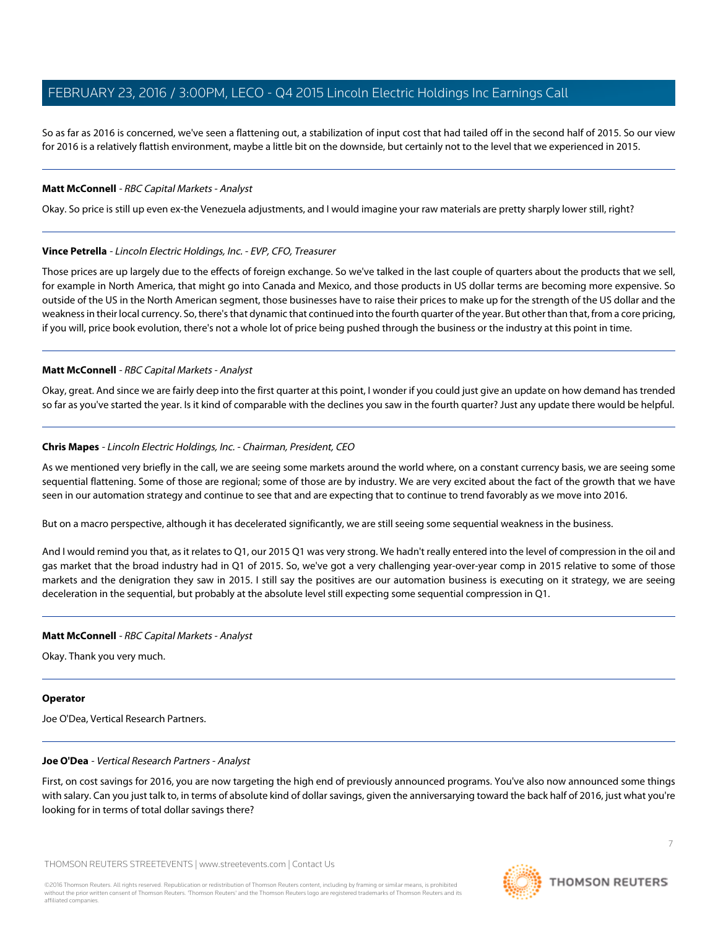So as far as 2016 is concerned, we've seen a flattening out, a stabilization of input cost that had tailed off in the second half of 2015. So our view for 2016 is a relatively flattish environment, maybe a little bit on the downside, but certainly not to the level that we experienced in 2015.

### **Matt McConnell** - RBC Capital Markets - Analyst

Okay. So price is still up even ex-the Venezuela adjustments, and I would imagine your raw materials are pretty sharply lower still, right?

### **Vince Petrella** - Lincoln Electric Holdings, Inc. - EVP, CFO, Treasurer

Those prices are up largely due to the effects of foreign exchange. So we've talked in the last couple of quarters about the products that we sell, for example in North America, that might go into Canada and Mexico, and those products in US dollar terms are becoming more expensive. So outside of the US in the North American segment, those businesses have to raise their prices to make up for the strength of the US dollar and the weakness in their local currency. So, there's that dynamic that continued into the fourth quarter of the year. But other than that, from a core pricing, if you will, price book evolution, there's not a whole lot of price being pushed through the business or the industry at this point in time.

### **Matt McConnell** - RBC Capital Markets - Analyst

Okay, great. And since we are fairly deep into the first quarter at this point, I wonder if you could just give an update on how demand has trended so far as you've started the year. Is it kind of comparable with the declines you saw in the fourth quarter? Just any update there would be helpful.

### **Chris Mapes** - Lincoln Electric Holdings, Inc. - Chairman, President, CEO

As we mentioned very briefly in the call, we are seeing some markets around the world where, on a constant currency basis, we are seeing some sequential flattening. Some of those are regional; some of those are by industry. We are very excited about the fact of the growth that we have seen in our automation strategy and continue to see that and are expecting that to continue to trend favorably as we move into 2016.

But on a macro perspective, although it has decelerated significantly, we are still seeing some sequential weakness in the business.

And I would remind you that, as it relates to Q1, our 2015 Q1 was very strong. We hadn't really entered into the level of compression in the oil and gas market that the broad industry had in Q1 of 2015. So, we've got a very challenging year-over-year comp in 2015 relative to some of those markets and the denigration they saw in 2015. I still say the positives are our automation business is executing on it strategy, we are seeing deceleration in the sequential, but probably at the absolute level still expecting some sequential compression in Q1.

### **Matt McConnell** - RBC Capital Markets - Analyst

Okay. Thank you very much.

### <span id="page-6-0"></span>**Operator**

Joe O'Dea, Vertical Research Partners.

### **Joe O'Dea** - Vertical Research Partners - Analyst

First, on cost savings for 2016, you are now targeting the high end of previously announced programs. You've also now announced some things with salary. Can you just talk to, in terms of absolute kind of dollar savings, given the anniversarying toward the back half of 2016, just what you're looking for in terms of total dollar savings there?

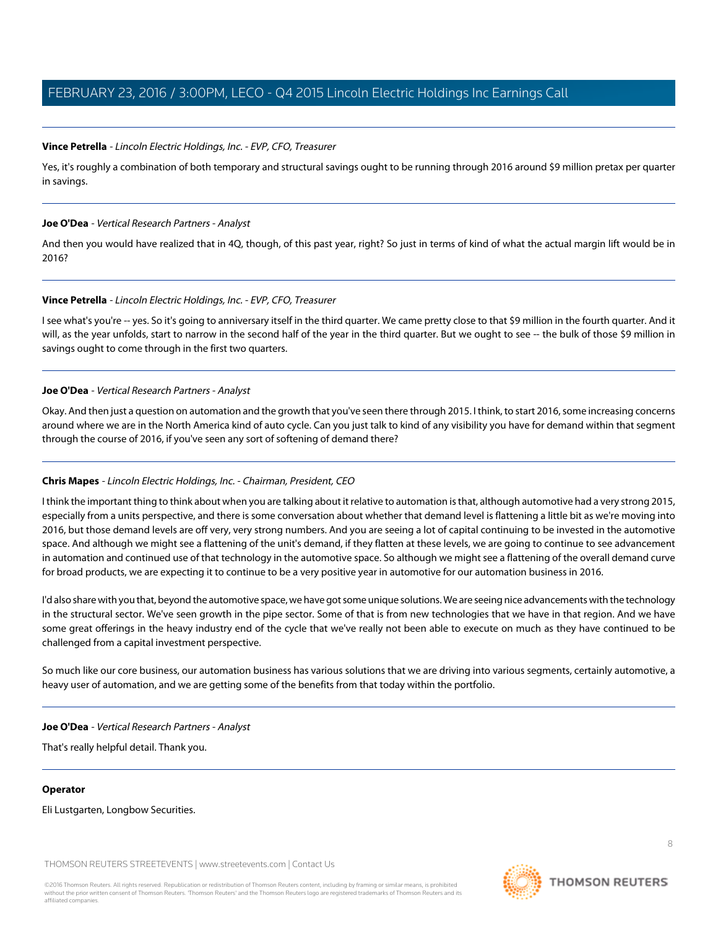### **Vince Petrella** - Lincoln Electric Holdings, Inc. - EVP, CFO, Treasurer

Yes, it's roughly a combination of both temporary and structural savings ought to be running through 2016 around \$9 million pretax per quarter in savings.

### **Joe O'Dea** - Vertical Research Partners - Analyst

And then you would have realized that in 4Q, though, of this past year, right? So just in terms of kind of what the actual margin lift would be in 2016?

### **Vince Petrella** - Lincoln Electric Holdings, Inc. - EVP, CFO, Treasurer

I see what's you're -- yes. So it's going to anniversary itself in the third quarter. We came pretty close to that \$9 million in the fourth quarter. And it will, as the year unfolds, start to narrow in the second half of the year in the third quarter. But we ought to see -- the bulk of those \$9 million in savings ought to come through in the first two quarters.

### **Joe O'Dea** - Vertical Research Partners - Analyst

Okay. And then just a question on automation and the growth that you've seen there through 2015. I think, to start 2016, some increasing concerns around where we are in the North America kind of auto cycle. Can you just talk to kind of any visibility you have for demand within that segment through the course of 2016, if you've seen any sort of softening of demand there?

### **Chris Mapes** - Lincoln Electric Holdings, Inc. - Chairman, President, CEO

I think the important thing to think about when you are talking about it relative to automation is that, although automotive had a very strong 2015, especially from a units perspective, and there is some conversation about whether that demand level is flattening a little bit as we're moving into 2016, but those demand levels are off very, very strong numbers. And you are seeing a lot of capital continuing to be invested in the automotive space. And although we might see a flattening of the unit's demand, if they flatten at these levels, we are going to continue to see advancement in automation and continued use of that technology in the automotive space. So although we might see a flattening of the overall demand curve for broad products, we are expecting it to continue to be a very positive year in automotive for our automation business in 2016.

I'd also share with you that, beyond the automotive space, we have got some unique solutions. We are seeing nice advancements with the technology in the structural sector. We've seen growth in the pipe sector. Some of that is from new technologies that we have in that region. And we have some great offerings in the heavy industry end of the cycle that we've really not been able to execute on much as they have continued to be challenged from a capital investment perspective.

So much like our core business, our automation business has various solutions that we are driving into various segments, certainly automotive, a heavy user of automation, and we are getting some of the benefits from that today within the portfolio.

### **Joe O'Dea** - Vertical Research Partners - Analyst

That's really helpful detail. Thank you.

### **Operator**

Eli Lustgarten, Longbow Securities.

THOMSON REUTERS STREETEVENTS | [www.streetevents.com](http://www.streetevents.com) | [Contact Us](http://www010.streetevents.com/contact.asp)

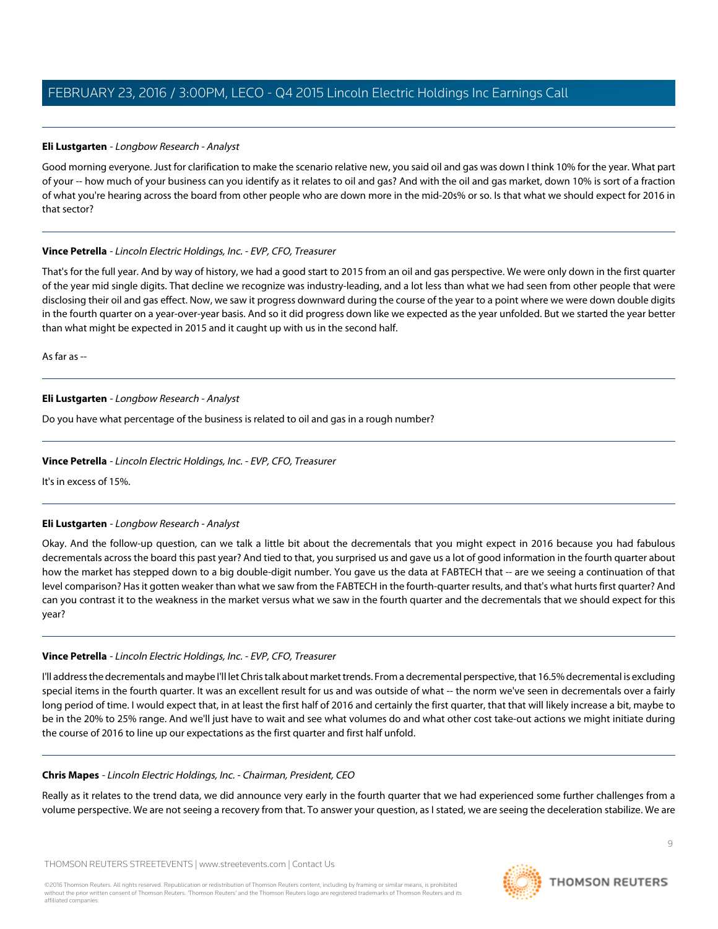### <span id="page-8-0"></span>**Eli Lustgarten** - Longbow Research - Analyst

Good morning everyone. Just for clarification to make the scenario relative new, you said oil and gas was down I think 10% for the year. What part of your -- how much of your business can you identify as it relates to oil and gas? And with the oil and gas market, down 10% is sort of a fraction of what you're hearing across the board from other people who are down more in the mid-20s% or so. Is that what we should expect for 2016 in that sector?

### **Vince Petrella** - Lincoln Electric Holdings, Inc. - EVP, CFO, Treasurer

That's for the full year. And by way of history, we had a good start to 2015 from an oil and gas perspective. We were only down in the first quarter of the year mid single digits. That decline we recognize was industry-leading, and a lot less than what we had seen from other people that were disclosing their oil and gas effect. Now, we saw it progress downward during the course of the year to a point where we were down double digits in the fourth quarter on a year-over-year basis. And so it did progress down like we expected as the year unfolded. But we started the year better than what might be expected in 2015 and it caught up with us in the second half.

As far as --

### **Eli Lustgarten** - Longbow Research - Analyst

Do you have what percentage of the business is related to oil and gas in a rough number?

### **Vince Petrella** - Lincoln Electric Holdings, Inc. - EVP, CFO, Treasurer

It's in excess of 15%.

### **Eli Lustgarten** - Longbow Research - Analyst

Okay. And the follow-up question, can we talk a little bit about the decrementals that you might expect in 2016 because you had fabulous decrementals across the board this past year? And tied to that, you surprised us and gave us a lot of good information in the fourth quarter about how the market has stepped down to a big double-digit number. You gave us the data at FABTECH that -- are we seeing a continuation of that level comparison? Has it gotten weaker than what we saw from the FABTECH in the fourth-quarter results, and that's what hurts first quarter? And can you contrast it to the weakness in the market versus what we saw in the fourth quarter and the decrementals that we should expect for this year?

### **Vince Petrella** - Lincoln Electric Holdings, Inc. - EVP, CFO, Treasurer

I'll address the decrementals and maybe I'll let Chris talk about market trends. From a decremental perspective, that 16.5% decremental is excluding special items in the fourth quarter. It was an excellent result for us and was outside of what -- the norm we've seen in decrementals over a fairly long period of time. I would expect that, in at least the first half of 2016 and certainly the first quarter, that that will likely increase a bit, maybe to be in the 20% to 25% range. And we'll just have to wait and see what volumes do and what other cost take-out actions we might initiate during the course of 2016 to line up our expectations as the first quarter and first half unfold.

### **Chris Mapes** - Lincoln Electric Holdings, Inc. - Chairman, President, CEO

Really as it relates to the trend data, we did announce very early in the fourth quarter that we had experienced some further challenges from a volume perspective. We are not seeing a recovery from that. To answer your question, as I stated, we are seeing the deceleration stabilize. We are

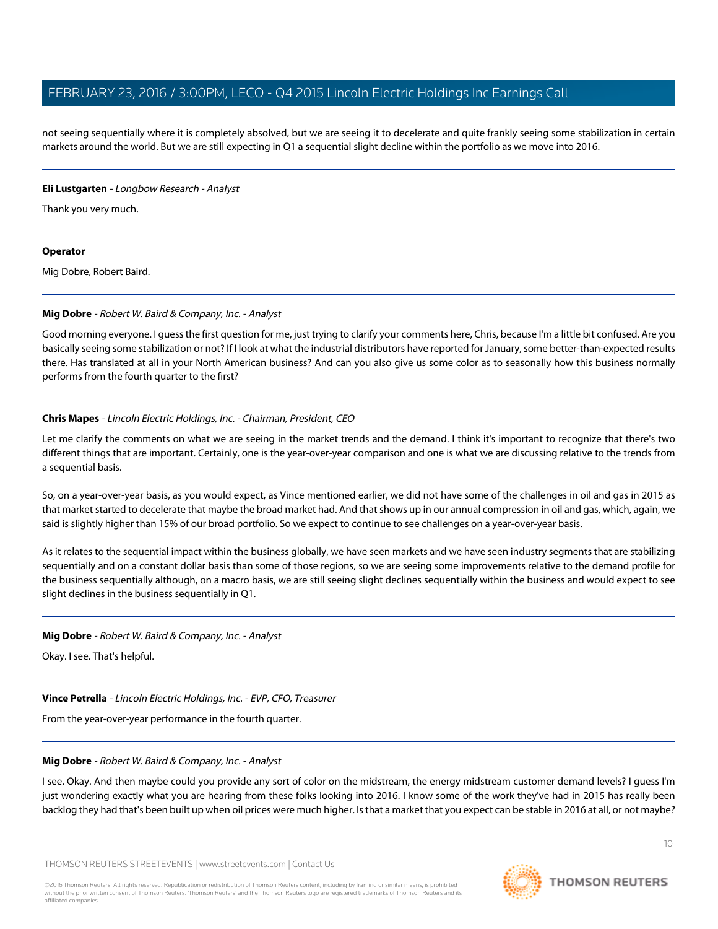not seeing sequentially where it is completely absolved, but we are seeing it to decelerate and quite frankly seeing some stabilization in certain markets around the world. But we are still expecting in Q1 a sequential slight decline within the portfolio as we move into 2016.

### **Eli Lustgarten** - Longbow Research - Analyst

Thank you very much.

### **Operator**

<span id="page-9-0"></span>Mig Dobre, Robert Baird.

### **Mig Dobre** - Robert W. Baird & Company, Inc. - Analyst

Good morning everyone. I guess the first question for me, just trying to clarify your comments here, Chris, because I'm a little bit confused. Are you basically seeing some stabilization or not? If I look at what the industrial distributors have reported for January, some better-than-expected results there. Has translated at all in your North American business? And can you also give us some color as to seasonally how this business normally performs from the fourth quarter to the first?

### **Chris Mapes** - Lincoln Electric Holdings, Inc. - Chairman, President, CEO

Let me clarify the comments on what we are seeing in the market trends and the demand. I think it's important to recognize that there's two different things that are important. Certainly, one is the year-over-year comparison and one is what we are discussing relative to the trends from a sequential basis.

So, on a year-over-year basis, as you would expect, as Vince mentioned earlier, we did not have some of the challenges in oil and gas in 2015 as that market started to decelerate that maybe the broad market had. And that shows up in our annual compression in oil and gas, which, again, we said is slightly higher than 15% of our broad portfolio. So we expect to continue to see challenges on a year-over-year basis.

As it relates to the sequential impact within the business globally, we have seen markets and we have seen industry segments that are stabilizing sequentially and on a constant dollar basis than some of those regions, so we are seeing some improvements relative to the demand profile for the business sequentially although, on a macro basis, we are still seeing slight declines sequentially within the business and would expect to see slight declines in the business sequentially in Q1.

### **Mig Dobre** - Robert W. Baird & Company, Inc. - Analyst

Okay. I see. That's helpful.

### **Vince Petrella** - Lincoln Electric Holdings, Inc. - EVP, CFO, Treasurer

From the year-over-year performance in the fourth quarter.

### **Mig Dobre** - Robert W. Baird & Company, Inc. - Analyst

I see. Okay. And then maybe could you provide any sort of color on the midstream, the energy midstream customer demand levels? I guess I'm just wondering exactly what you are hearing from these folks looking into 2016. I know some of the work they've had in 2015 has really been backlog they had that's been built up when oil prices were much higher. Is that a market that you expect can be stable in 2016 at all, or not maybe?

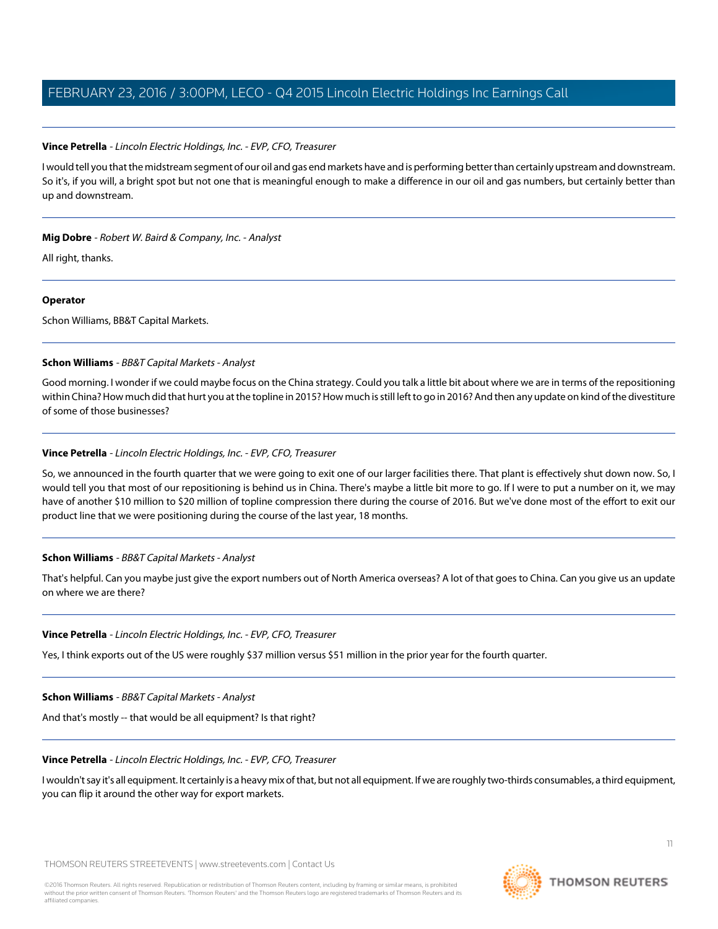### **Vince Petrella** - Lincoln Electric Holdings, Inc. - EVP, CFO, Treasurer

I would tell you that the midstream segment of our oil and gas end markets have and is performing better than certainly upstream and downstream. So it's, if you will, a bright spot but not one that is meaningful enough to make a difference in our oil and gas numbers, but certainly better than up and downstream.

### **Mig Dobre** - Robert W. Baird & Company, Inc. - Analyst

All right, thanks.

### **Operator**

<span id="page-10-0"></span>Schon Williams, BB&T Capital Markets.

### **Schon Williams** - BB&T Capital Markets - Analyst

Good morning. I wonder if we could maybe focus on the China strategy. Could you talk a little bit about where we are in terms of the repositioning within China? How much did that hurt you at the topline in 2015? How much is still left to go in 2016? And then any update on kind of the divestiture of some of those businesses?

### **Vince Petrella** - Lincoln Electric Holdings, Inc. - EVP, CFO, Treasurer

So, we announced in the fourth quarter that we were going to exit one of our larger facilities there. That plant is effectively shut down now. So, I would tell you that most of our repositioning is behind us in China. There's maybe a little bit more to go. If I were to put a number on it, we may have of another \$10 million to \$20 million of topline compression there during the course of 2016. But we've done most of the effort to exit our product line that we were positioning during the course of the last year, 18 months.

### **Schon Williams** - BB&T Capital Markets - Analyst

That's helpful. Can you maybe just give the export numbers out of North America overseas? A lot of that goes to China. Can you give us an update on where we are there?

### **Vince Petrella** - Lincoln Electric Holdings, Inc. - EVP, CFO, Treasurer

Yes, I think exports out of the US were roughly \$37 million versus \$51 million in the prior year for the fourth quarter.

**Schon Williams** - BB&T Capital Markets - Analyst

And that's mostly -- that would be all equipment? Is that right?

### **Vince Petrella** - Lincoln Electric Holdings, Inc. - EVP, CFO, Treasurer

I wouldn't say it's all equipment. It certainly is a heavy mix of that, but not all equipment. If we are roughly two-thirds consumables, a third equipment, you can flip it around the other way for export markets.

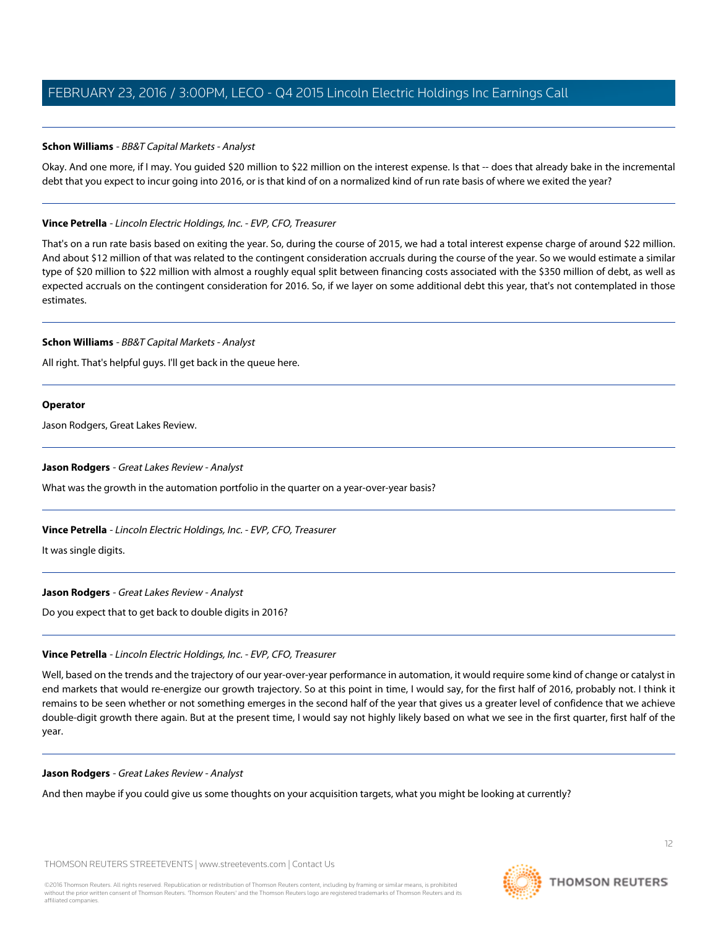### **Schon Williams** - BB&T Capital Markets - Analyst

Okay. And one more, if I may. You guided \$20 million to \$22 million on the interest expense. Is that -- does that already bake in the incremental debt that you expect to incur going into 2016, or is that kind of on a normalized kind of run rate basis of where we exited the year?

### **Vince Petrella** - Lincoln Electric Holdings, Inc. - EVP, CFO, Treasurer

That's on a run rate basis based on exiting the year. So, during the course of 2015, we had a total interest expense charge of around \$22 million. And about \$12 million of that was related to the contingent consideration accruals during the course of the year. So we would estimate a similar type of \$20 million to \$22 million with almost a roughly equal split between financing costs associated with the \$350 million of debt, as well as expected accruals on the contingent consideration for 2016. So, if we layer on some additional debt this year, that's not contemplated in those estimates.

### **Schon Williams** - BB&T Capital Markets - Analyst

All right. That's helpful guys. I'll get back in the queue here.

### **Operator**

<span id="page-11-0"></span>Jason Rodgers, Great Lakes Review.

### **Jason Rodgers** - Great Lakes Review - Analyst

What was the growth in the automation portfolio in the quarter on a year-over-year basis?

### **Vince Petrella** - Lincoln Electric Holdings, Inc. - EVP, CFO, Treasurer

It was single digits.

### **Jason Rodgers** - Great Lakes Review - Analyst

Do you expect that to get back to double digits in 2016?

### **Vince Petrella** - Lincoln Electric Holdings, Inc. - EVP, CFO, Treasurer

Well, based on the trends and the trajectory of our year-over-year performance in automation, it would require some kind of change or catalyst in end markets that would re-energize our growth trajectory. So at this point in time, I would say, for the first half of 2016, probably not. I think it remains to be seen whether or not something emerges in the second half of the year that gives us a greater level of confidence that we achieve double-digit growth there again. But at the present time, I would say not highly likely based on what we see in the first quarter, first half of the year.

### **Jason Rodgers** - Great Lakes Review - Analyst

And then maybe if you could give us some thoughts on your acquisition targets, what you might be looking at currently?

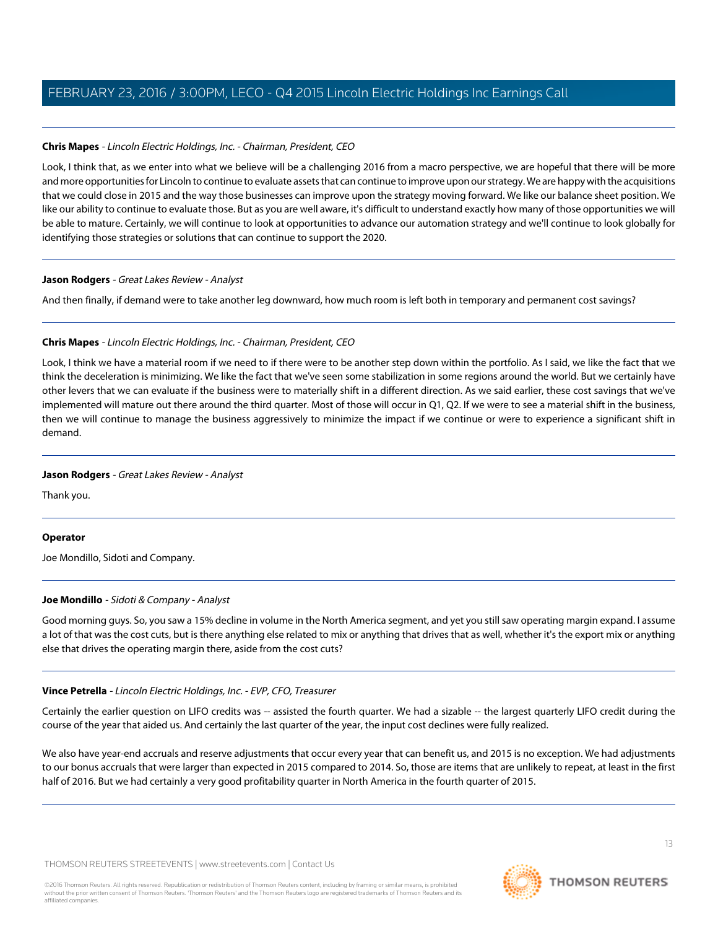### **Chris Mapes** - Lincoln Electric Holdings, Inc. - Chairman, President, CEO

Look, I think that, as we enter into what we believe will be a challenging 2016 from a macro perspective, we are hopeful that there will be more and more opportunities for Lincoln to continue to evaluate assets that can continue to improve upon our strategy. We are happy with the acquisitions that we could close in 2015 and the way those businesses can improve upon the strategy moving forward. We like our balance sheet position. We like our ability to continue to evaluate those. But as you are well aware, it's difficult to understand exactly how many of those opportunities we will be able to mature. Certainly, we will continue to look at opportunities to advance our automation strategy and we'll continue to look globally for identifying those strategies or solutions that can continue to support the 2020.

### **Jason Rodgers** - Great Lakes Review - Analyst

And then finally, if demand were to take another leg downward, how much room is left both in temporary and permanent cost savings?

### **Chris Mapes** - Lincoln Electric Holdings, Inc. - Chairman, President, CEO

Look, I think we have a material room if we need to if there were to be another step down within the portfolio. As I said, we like the fact that we think the deceleration is minimizing. We like the fact that we've seen some stabilization in some regions around the world. But we certainly have other levers that we can evaluate if the business were to materially shift in a different direction. As we said earlier, these cost savings that we've implemented will mature out there around the third quarter. Most of those will occur in Q1, Q2. If we were to see a material shift in the business, then we will continue to manage the business aggressively to minimize the impact if we continue or were to experience a significant shift in demand.

### **Jason Rodgers** - Great Lakes Review - Analyst

Thank you.

### <span id="page-12-0"></span>**Operator**

Joe Mondillo, Sidoti and Company.

### **Joe Mondillo** - Sidoti & Company - Analyst

Good morning guys. So, you saw a 15% decline in volume in the North America segment, and yet you still saw operating margin expand. I assume a lot of that was the cost cuts, but is there anything else related to mix or anything that drives that as well, whether it's the export mix or anything else that drives the operating margin there, aside from the cost cuts?

### **Vince Petrella** - Lincoln Electric Holdings, Inc. - EVP, CFO, Treasurer

Certainly the earlier question on LIFO credits was -- assisted the fourth quarter. We had a sizable -- the largest quarterly LIFO credit during the course of the year that aided us. And certainly the last quarter of the year, the input cost declines were fully realized.

We also have year-end accruals and reserve adjustments that occur every year that can benefit us, and 2015 is no exception. We had adjustments to our bonus accruals that were larger than expected in 2015 compared to 2014. So, those are items that are unlikely to repeat, at least in the first half of 2016. But we had certainly a very good profitability quarter in North America in the fourth quarter of 2015.

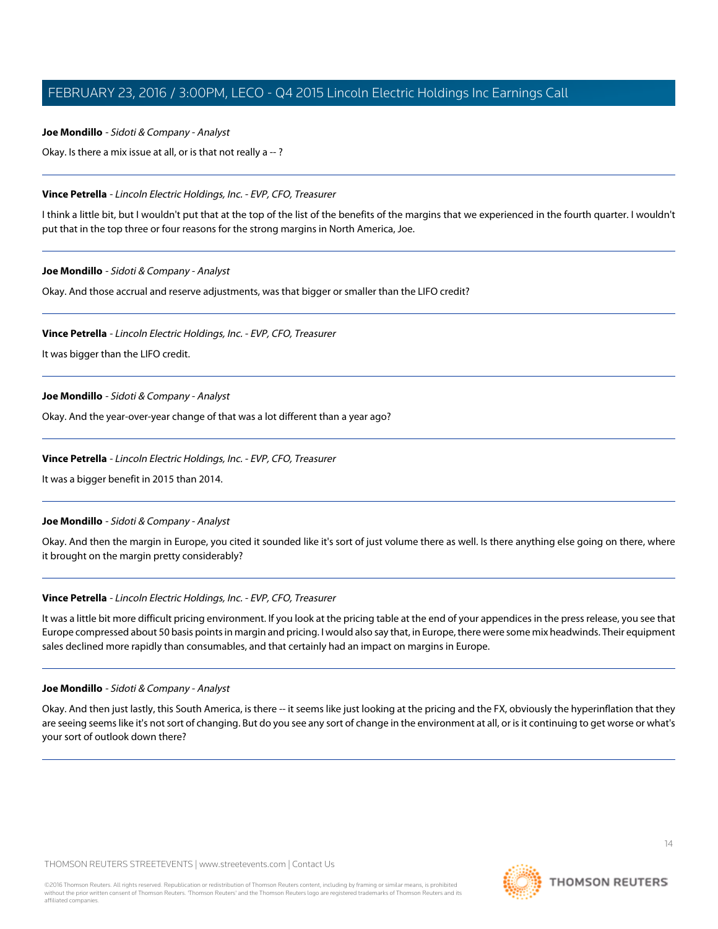### **Joe Mondillo** - Sidoti & Company - Analyst

Okay. Is there a mix issue at all, or is that not really a -- ?

### **Vince Petrella** - Lincoln Electric Holdings, Inc. - EVP, CFO, Treasurer

I think a little bit, but I wouldn't put that at the top of the list of the benefits of the margins that we experienced in the fourth quarter. I wouldn't put that in the top three or four reasons for the strong margins in North America, Joe.

**Joe Mondillo** - Sidoti & Company - Analyst

Okay. And those accrual and reserve adjustments, was that bigger or smaller than the LIFO credit?

### **Vince Petrella** - Lincoln Electric Holdings, Inc. - EVP, CFO, Treasurer

It was bigger than the LIFO credit.

### **Joe Mondillo** - Sidoti & Company - Analyst

Okay. And the year-over-year change of that was a lot different than a year ago?

### **Vince Petrella** - Lincoln Electric Holdings, Inc. - EVP, CFO, Treasurer

It was a bigger benefit in 2015 than 2014.

### **Joe Mondillo** - Sidoti & Company - Analyst

Okay. And then the margin in Europe, you cited it sounded like it's sort of just volume there as well. Is there anything else going on there, where it brought on the margin pretty considerably?

### **Vince Petrella** - Lincoln Electric Holdings, Inc. - EVP, CFO, Treasurer

It was a little bit more difficult pricing environment. If you look at the pricing table at the end of your appendices in the press release, you see that Europe compressed about 50 basis points in margin and pricing. I would also say that, in Europe, there were some mix headwinds. Their equipment sales declined more rapidly than consumables, and that certainly had an impact on margins in Europe.

### **Joe Mondillo** - Sidoti & Company - Analyst

Okay. And then just lastly, this South America, is there -- it seems like just looking at the pricing and the FX, obviously the hyperinflation that they are seeing seems like it's not sort of changing. But do you see any sort of change in the environment at all, or is it continuing to get worse or what's your sort of outlook down there?



**THOMSON REUTERS**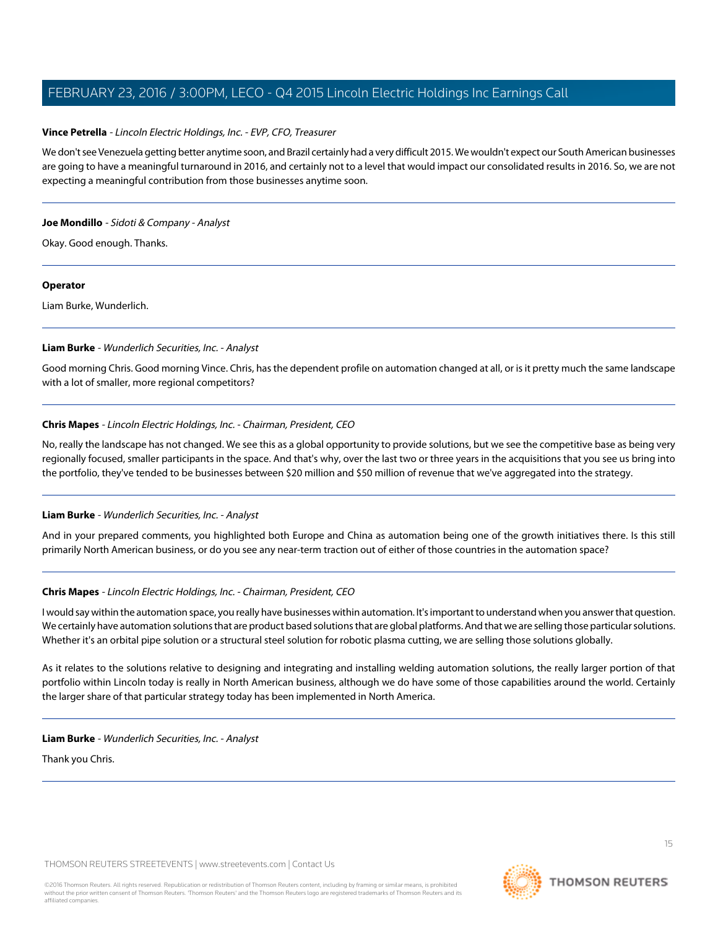### **Vince Petrella** - Lincoln Electric Holdings, Inc. - EVP, CFO, Treasurer

We don't see Venezuela getting better anytime soon, and Brazil certainly had a very difficult 2015. We wouldn't expect our South American businesses are going to have a meaningful turnaround in 2016, and certainly not to a level that would impact our consolidated results in 2016. So, we are not expecting a meaningful contribution from those businesses anytime soon.

### **Joe Mondillo** - Sidoti & Company - Analyst

Okay. Good enough. Thanks.

### **Operator**

<span id="page-14-0"></span>Liam Burke, Wunderlich.

### **Liam Burke** - Wunderlich Securities, Inc. - Analyst

Good morning Chris. Good morning Vince. Chris, has the dependent profile on automation changed at all, or is it pretty much the same landscape with a lot of smaller, more regional competitors?

### **Chris Mapes** - Lincoln Electric Holdings, Inc. - Chairman, President, CEO

No, really the landscape has not changed. We see this as a global opportunity to provide solutions, but we see the competitive base as being very regionally focused, smaller participants in the space. And that's why, over the last two or three years in the acquisitions that you see us bring into the portfolio, they've tended to be businesses between \$20 million and \$50 million of revenue that we've aggregated into the strategy.

### **Liam Burke** - Wunderlich Securities, Inc. - Analyst

And in your prepared comments, you highlighted both Europe and China as automation being one of the growth initiatives there. Is this still primarily North American business, or do you see any near-term traction out of either of those countries in the automation space?

### **Chris Mapes** - Lincoln Electric Holdings, Inc. - Chairman, President, CEO

I would say within the automation space, you really have businesses within automation. It's important to understand when you answer that question. We certainly have automation solutions that are product based solutions that are global platforms. And that we are selling those particular solutions. Whether it's an orbital pipe solution or a structural steel solution for robotic plasma cutting, we are selling those solutions globally.

As it relates to the solutions relative to designing and integrating and installing welding automation solutions, the really larger portion of that portfolio within Lincoln today is really in North American business, although we do have some of those capabilities around the world. Certainly the larger share of that particular strategy today has been implemented in North America.

### **Liam Burke** - Wunderlich Securities, Inc. - Analyst

Thank you Chris.

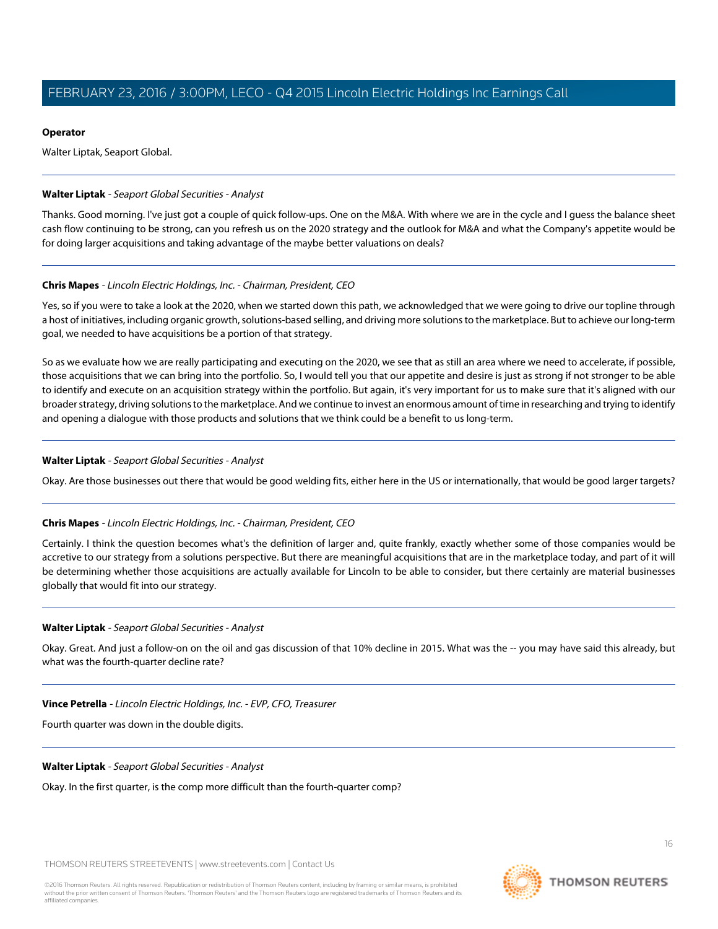### **Operator**

Walter Liptak, Seaport Global.

### <span id="page-15-0"></span>**Walter Liptak** - Seaport Global Securities - Analyst

Thanks. Good morning. I've just got a couple of quick follow-ups. One on the M&A. With where we are in the cycle and I guess the balance sheet cash flow continuing to be strong, can you refresh us on the 2020 strategy and the outlook for M&A and what the Company's appetite would be for doing larger acquisitions and taking advantage of the maybe better valuations on deals?

### **Chris Mapes** - Lincoln Electric Holdings, Inc. - Chairman, President, CEO

Yes, so if you were to take a look at the 2020, when we started down this path, we acknowledged that we were going to drive our topline through a host of initiatives, including organic growth, solutions-based selling, and driving more solutions to the marketplace. But to achieve our long-term goal, we needed to have acquisitions be a portion of that strategy.

So as we evaluate how we are really participating and executing on the 2020, we see that as still an area where we need to accelerate, if possible, those acquisitions that we can bring into the portfolio. So, I would tell you that our appetite and desire is just as strong if not stronger to be able to identify and execute on an acquisition strategy within the portfolio. But again, it's very important for us to make sure that it's aligned with our broader strategy, driving solutions to the marketplace. And we continue to invest an enormous amount of time in researching and trying to identify and opening a dialogue with those products and solutions that we think could be a benefit to us long-term.

### **Walter Liptak** - Seaport Global Securities - Analyst

Okay. Are those businesses out there that would be good welding fits, either here in the US or internationally, that would be good larger targets?

### **Chris Mapes** - Lincoln Electric Holdings, Inc. - Chairman, President, CEO

Certainly. I think the question becomes what's the definition of larger and, quite frankly, exactly whether some of those companies would be accretive to our strategy from a solutions perspective. But there are meaningful acquisitions that are in the marketplace today, and part of it will be determining whether those acquisitions are actually available for Lincoln to be able to consider, but there certainly are material businesses globally that would fit into our strategy.

### **Walter Liptak** - Seaport Global Securities - Analyst

Okay. Great. And just a follow-on on the oil and gas discussion of that 10% decline in 2015. What was the -- you may have said this already, but what was the fourth-quarter decline rate?

### **Vince Petrella** - Lincoln Electric Holdings, Inc. - EVP, CFO, Treasurer

Fourth quarter was down in the double digits.

### **Walter Liptak** - Seaport Global Securities - Analyst

Okay. In the first quarter, is the comp more difficult than the fourth-quarter comp?

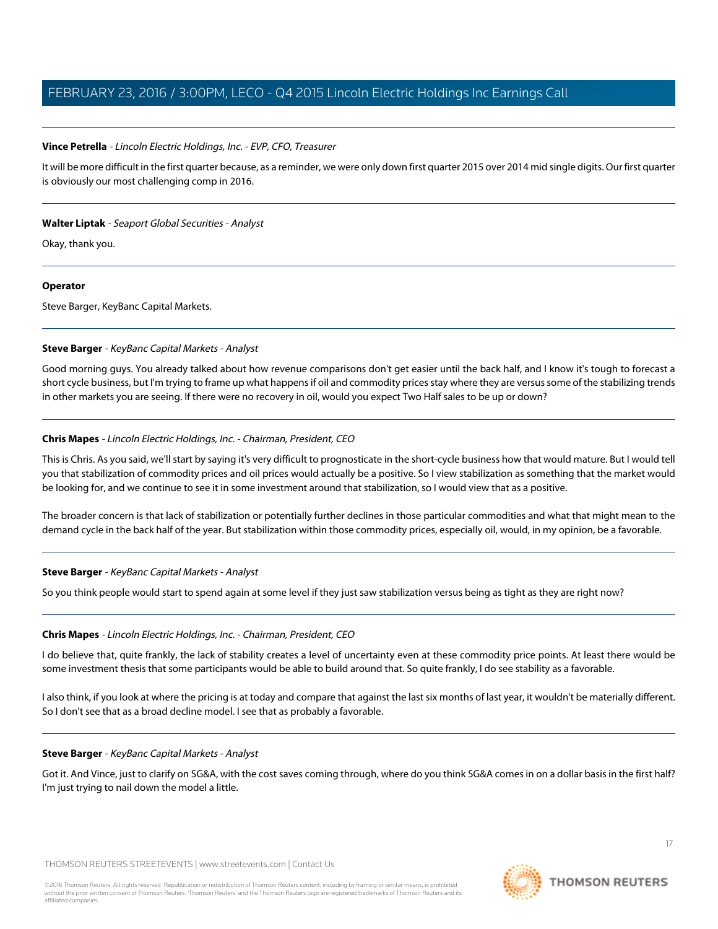### **Vince Petrella** - Lincoln Electric Holdings, Inc. - EVP, CFO, Treasurer

It will be more difficult in the first quarter because, as a reminder, we were only down first quarter 2015 over 2014 mid single digits. Our first quarter is obviously our most challenging comp in 2016.

### **Walter Liptak** - Seaport Global Securities - Analyst

Okay, thank you.

### **Operator**

<span id="page-16-0"></span>Steve Barger, KeyBanc Capital Markets.

### **Steve Barger** - KeyBanc Capital Markets - Analyst

Good morning guys. You already talked about how revenue comparisons don't get easier until the back half, and I know it's tough to forecast a short cycle business, but I'm trying to frame up what happens if oil and commodity prices stay where they are versus some of the stabilizing trends in other markets you are seeing. If there were no recovery in oil, would you expect Two Half sales to be up or down?

### **Chris Mapes** - Lincoln Electric Holdings, Inc. - Chairman, President, CEO

This is Chris. As you said, we'll start by saying it's very difficult to prognosticate in the short-cycle business how that would mature. But I would tell you that stabilization of commodity prices and oil prices would actually be a positive. So I view stabilization as something that the market would be looking for, and we continue to see it in some investment around that stabilization, so I would view that as a positive.

The broader concern is that lack of stabilization or potentially further declines in those particular commodities and what that might mean to the demand cycle in the back half of the year. But stabilization within those commodity prices, especially oil, would, in my opinion, be a favorable.

### **Steve Barger** - KeyBanc Capital Markets - Analyst

So you think people would start to spend again at some level if they just saw stabilization versus being as tight as they are right now?

### **Chris Mapes** - Lincoln Electric Holdings, Inc. - Chairman, President, CEO

I do believe that, quite frankly, the lack of stability creates a level of uncertainty even at these commodity price points. At least there would be some investment thesis that some participants would be able to build around that. So quite frankly, I do see stability as a favorable.

I also think, if you look at where the pricing is at today and compare that against the last six months of last year, it wouldn't be materially different. So I don't see that as a broad decline model. I see that as probably a favorable.

### **Steve Barger** - KeyBanc Capital Markets - Analyst

Got it. And Vince, just to clarify on SG&A, with the cost saves coming through, where do you think SG&A comes in on a dollar basis in the first half? I'm just trying to nail down the model a little.

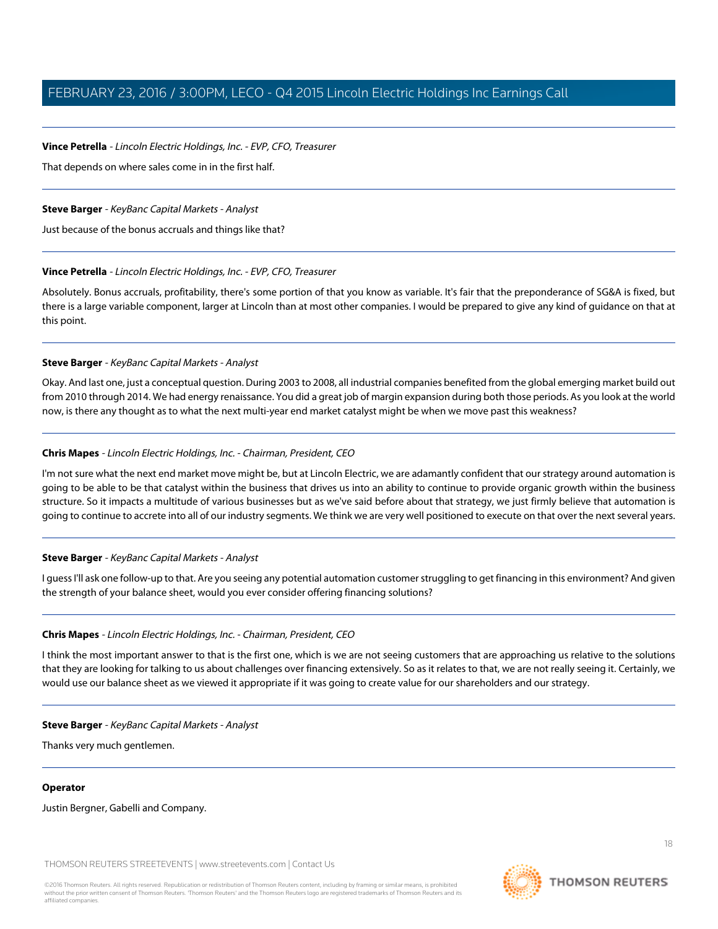### **Vince Petrella** - Lincoln Electric Holdings, Inc. - EVP, CFO, Treasurer

That depends on where sales come in in the first half.

### **Steve Barger** - KeyBanc Capital Markets - Analyst

Just because of the bonus accruals and things like that?

### **Vince Petrella** - Lincoln Electric Holdings, Inc. - EVP, CFO, Treasurer

Absolutely. Bonus accruals, profitability, there's some portion of that you know as variable. It's fair that the preponderance of SG&A is fixed, but there is a large variable component, larger at Lincoln than at most other companies. I would be prepared to give any kind of guidance on that at this point.

### **Steve Barger** - KeyBanc Capital Markets - Analyst

Okay. And last one, just a conceptual question. During 2003 to 2008, all industrial companies benefited from the global emerging market build out from 2010 through 2014. We had energy renaissance. You did a great job of margin expansion during both those periods. As you look at the world now, is there any thought as to what the next multi-year end market catalyst might be when we move past this weakness?

### **Chris Mapes** - Lincoln Electric Holdings, Inc. - Chairman, President, CEO

I'm not sure what the next end market move might be, but at Lincoln Electric, we are adamantly confident that our strategy around automation is going to be able to be that catalyst within the business that drives us into an ability to continue to provide organic growth within the business structure. So it impacts a multitude of various businesses but as we've said before about that strategy, we just firmly believe that automation is going to continue to accrete into all of our industry segments. We think we are very well positioned to execute on that over the next several years.

### **Steve Barger** - KeyBanc Capital Markets - Analyst

I guess I'll ask one follow-up to that. Are you seeing any potential automation customer struggling to get financing in this environment? And given the strength of your balance sheet, would you ever consider offering financing solutions?

### **Chris Mapes** - Lincoln Electric Holdings, Inc. - Chairman, President, CEO

I think the most important answer to that is the first one, which is we are not seeing customers that are approaching us relative to the solutions that they are looking for talking to us about challenges over financing extensively. So as it relates to that, we are not really seeing it. Certainly, we would use our balance sheet as we viewed it appropriate if it was going to create value for our shareholders and our strategy.

### **Steve Barger** - KeyBanc Capital Markets - Analyst

Thanks very much gentlemen.

### **Operator**

Justin Bergner, Gabelli and Company.

THOMSON REUTERS STREETEVENTS | [www.streetevents.com](http://www.streetevents.com) | [Contact Us](http://www010.streetevents.com/contact.asp)

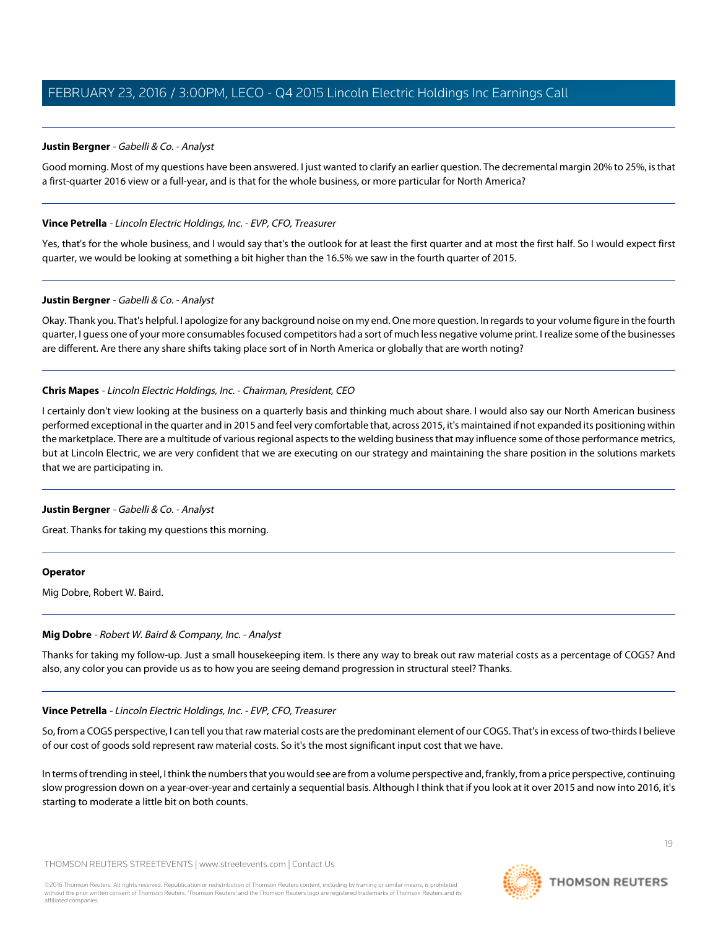### <span id="page-18-0"></span>**Justin Bergner** - Gabelli & Co. - Analyst

Good morning. Most of my questions have been answered. I just wanted to clarify an earlier question. The decremental margin 20% to 25%, is that a first-quarter 2016 view or a full-year, and is that for the whole business, or more particular for North America?

### **Vince Petrella** - Lincoln Electric Holdings, Inc. - EVP, CFO, Treasurer

Yes, that's for the whole business, and I would say that's the outlook for at least the first quarter and at most the first half. So I would expect first quarter, we would be looking at something a bit higher than the 16.5% we saw in the fourth quarter of 2015.

### **Justin Bergner** - Gabelli & Co. - Analyst

Okay. Thank you. That's helpful. I apologize for any background noise on my end. One more question. In regards to your volume figure in the fourth quarter, I guess one of your more consumables focused competitors had a sort of much less negative volume print. I realize some of the businesses are different. Are there any share shifts taking place sort of in North America or globally that are worth noting?

### **Chris Mapes** - Lincoln Electric Holdings, Inc. - Chairman, President, CEO

I certainly don't view looking at the business on a quarterly basis and thinking much about share. I would also say our North American business performed exceptional in the quarter and in 2015 and feel very comfortable that, across 2015, it's maintained if not expanded its positioning within the marketplace. There are a multitude of various regional aspects to the welding business that may influence some of those performance metrics, but at Lincoln Electric, we are very confident that we are executing on our strategy and maintaining the share position in the solutions markets that we are participating in.

### **Justin Bergner** - Gabelli & Co. - Analyst

Great. Thanks for taking my questions this morning.

### **Operator**

Mig Dobre, Robert W. Baird.

### **Mig Dobre** - Robert W. Baird & Company, Inc. - Analyst

Thanks for taking my follow-up. Just a small housekeeping item. Is there any way to break out raw material costs as a percentage of COGS? And also, any color you can provide us as to how you are seeing demand progression in structural steel? Thanks.

### **Vince Petrella** - Lincoln Electric Holdings, Inc. - EVP, CFO, Treasurer

So, from a COGS perspective, I can tell you that raw material costs are the predominant element of our COGS. That's in excess of two-thirds I believe of our cost of goods sold represent raw material costs. So it's the most significant input cost that we have.

In terms of trending in steel, I think the numbers that you would see are from a volume perspective and, frankly, from a price perspective, continuing slow progression down on a year-over-year and certainly a sequential basis. Although I think that if you look at it over 2015 and now into 2016, it's starting to moderate a little bit on both counts.